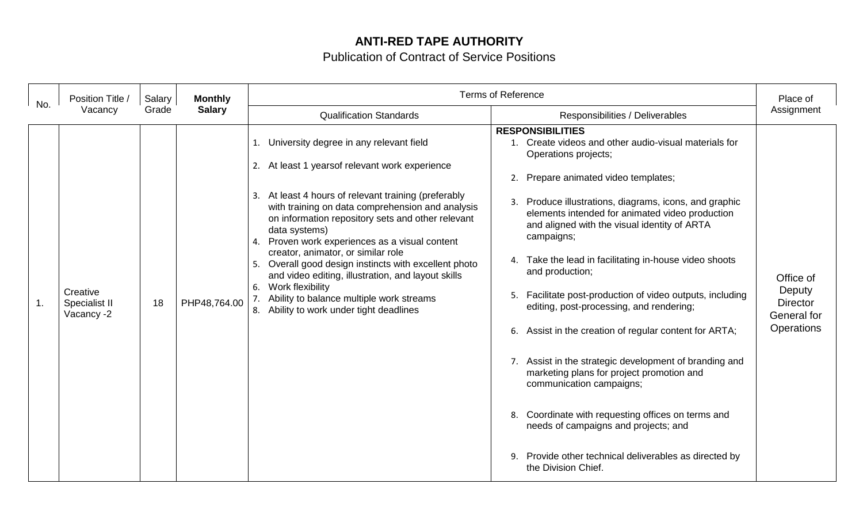## **ANTI-RED TAPE AUTHORITY**

Publication of Contract of Service Positions

| No. | Position Title /<br>Vacancy             | Salary<br>Grade | <b>Terms of Reference</b><br><b>Monthly</b> |                                                                                                                                                                                                                                                                                                                                                                                                                                                                                                                                                                                                                            |                                                                                                                                                                                                                                                                                                                                                                                                                                                                                                                                                                                                                                                                                                                                                                                                                                                                                                     | Place of                                                            |
|-----|-----------------------------------------|-----------------|---------------------------------------------|----------------------------------------------------------------------------------------------------------------------------------------------------------------------------------------------------------------------------------------------------------------------------------------------------------------------------------------------------------------------------------------------------------------------------------------------------------------------------------------------------------------------------------------------------------------------------------------------------------------------------|-----------------------------------------------------------------------------------------------------------------------------------------------------------------------------------------------------------------------------------------------------------------------------------------------------------------------------------------------------------------------------------------------------------------------------------------------------------------------------------------------------------------------------------------------------------------------------------------------------------------------------------------------------------------------------------------------------------------------------------------------------------------------------------------------------------------------------------------------------------------------------------------------------|---------------------------------------------------------------------|
|     |                                         |                 | <b>Salary</b>                               | <b>Qualification Standards</b>                                                                                                                                                                                                                                                                                                                                                                                                                                                                                                                                                                                             | Responsibilities / Deliverables                                                                                                                                                                                                                                                                                                                                                                                                                                                                                                                                                                                                                                                                                                                                                                                                                                                                     | Assignment                                                          |
| 1.  | Creative<br>Specialist II<br>Vacancy -2 | 18              | PHP48,764.00                                | University degree in any relevant field<br>1.<br>At least 1 years of relevant work experience<br>2.<br>At least 4 hours of relevant training (preferably<br>3.<br>with training on data comprehension and analysis<br>on information repository sets and other relevant<br>data systems)<br>Proven work experiences as a visual content<br>4.<br>creator, animator, or similar role<br>Overall good design instincts with excellent photo<br>5.<br>and video editing, illustration, and layout skills<br>Work flexibility<br>6.<br>Ability to balance multiple work streams<br>Ability to work under tight deadlines<br>8. | <b>RESPONSIBILITIES</b><br>1. Create videos and other audio-visual materials for<br>Operations projects;<br>Prepare animated video templates;<br>2.<br>3. Produce illustrations, diagrams, icons, and graphic<br>elements intended for animated video production<br>and aligned with the visual identity of ARTA<br>campaigns;<br>4. Take the lead in facilitating in-house video shoots<br>and production;<br>5. Facilitate post-production of video outputs, including<br>editing, post-processing, and rendering;<br>Assist in the creation of regular content for ARTA;<br>6.<br>7. Assist in the strategic development of branding and<br>marketing plans for project promotion and<br>communication campaigns;<br>8. Coordinate with requesting offices on terms and<br>needs of campaigns and projects; and<br>9. Provide other technical deliverables as directed by<br>the Division Chief. | Office of<br>Deputy<br><b>Director</b><br>General for<br>Operations |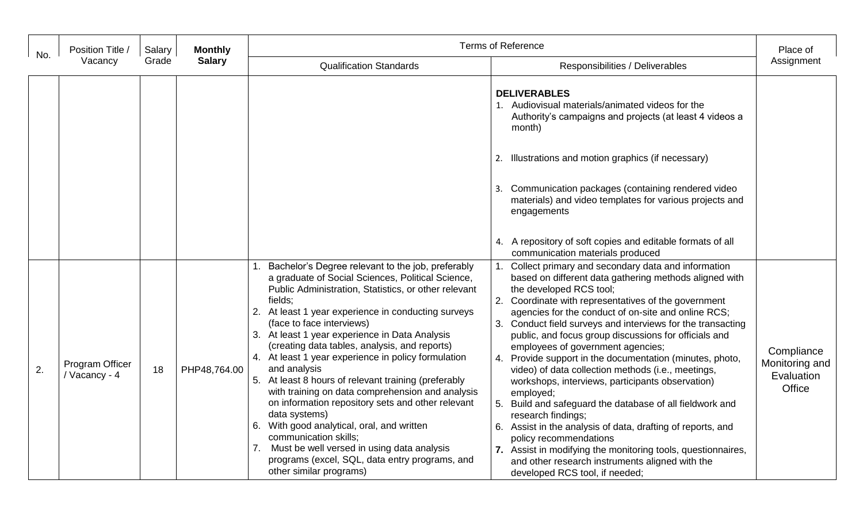| No. | Position Title /<br>Vacancy      | Salary<br>Grade | <b>Monthly</b><br><b>Salary</b> | <b>Terms of Reference</b>                                                                                                                                                                                                                                                                                                                                                                                                                                                                                                                                                                                                                                                                                                                                                                                                         |                                                                                                                                                                                                                                                                                                                                                                                                                                                                                                                                                                                                                                                                                                                                                                                                                                                                                                                                  | Place of                                             |
|-----|----------------------------------|-----------------|---------------------------------|-----------------------------------------------------------------------------------------------------------------------------------------------------------------------------------------------------------------------------------------------------------------------------------------------------------------------------------------------------------------------------------------------------------------------------------------------------------------------------------------------------------------------------------------------------------------------------------------------------------------------------------------------------------------------------------------------------------------------------------------------------------------------------------------------------------------------------------|----------------------------------------------------------------------------------------------------------------------------------------------------------------------------------------------------------------------------------------------------------------------------------------------------------------------------------------------------------------------------------------------------------------------------------------------------------------------------------------------------------------------------------------------------------------------------------------------------------------------------------------------------------------------------------------------------------------------------------------------------------------------------------------------------------------------------------------------------------------------------------------------------------------------------------|------------------------------------------------------|
|     |                                  |                 |                                 | <b>Qualification Standards</b>                                                                                                                                                                                                                                                                                                                                                                                                                                                                                                                                                                                                                                                                                                                                                                                                    | Responsibilities / Deliverables                                                                                                                                                                                                                                                                                                                                                                                                                                                                                                                                                                                                                                                                                                                                                                                                                                                                                                  | Assignment                                           |
|     |                                  |                 |                                 |                                                                                                                                                                                                                                                                                                                                                                                                                                                                                                                                                                                                                                                                                                                                                                                                                                   | <b>DELIVERABLES</b><br>1. Audiovisual materials/animated videos for the<br>Authority's campaigns and projects (at least 4 videos a<br>month)<br>Illustrations and motion graphics (if necessary)<br>2.<br>3. Communication packages (containing rendered video<br>materials) and video templates for various projects and<br>engagements<br>4. A repository of soft copies and editable formats of all<br>communication materials produced                                                                                                                                                                                                                                                                                                                                                                                                                                                                                       |                                                      |
| 2.  | Program Officer<br>/ Vacancy - 4 | 18              | PHP48,764.00                    | Bachelor's Degree relevant to the job, preferably<br>a graduate of Social Sciences, Political Science,<br>Public Administration, Statistics, or other relevant<br>fields:<br>2. At least 1 year experience in conducting surveys<br>(face to face interviews)<br>3. At least 1 year experience in Data Analysis<br>(creating data tables, analysis, and reports)<br>4. At least 1 year experience in policy formulation<br>and analysis<br>5. At least 8 hours of relevant training (preferably<br>with training on data comprehension and analysis<br>on information repository sets and other relevant<br>data systems)<br>6. With good analytical, oral, and written<br>communication skills;<br>Must be well versed in using data analysis<br>7.<br>programs (excel, SQL, data entry programs, and<br>other similar programs) | Collect primary and secondary data and information<br>based on different data gathering methods aligned with<br>the developed RCS tool;<br>Coordinate with representatives of the government<br>agencies for the conduct of on-site and online RCS;<br>3. Conduct field surveys and interviews for the transacting<br>public, and focus group discussions for officials and<br>employees of government agencies;<br>4. Provide support in the documentation (minutes, photo,<br>video) of data collection methods (i.e., meetings,<br>workshops, interviews, participants observation)<br>employed;<br>Build and safeguard the database of all fieldwork and<br>research findings;<br>6. Assist in the analysis of data, drafting of reports, and<br>policy recommendations<br>7. Assist in modifying the monitoring tools, questionnaires,<br>and other research instruments aligned with the<br>developed RCS tool, if needed; | Compliance<br>Monitoring and<br>Evaluation<br>Office |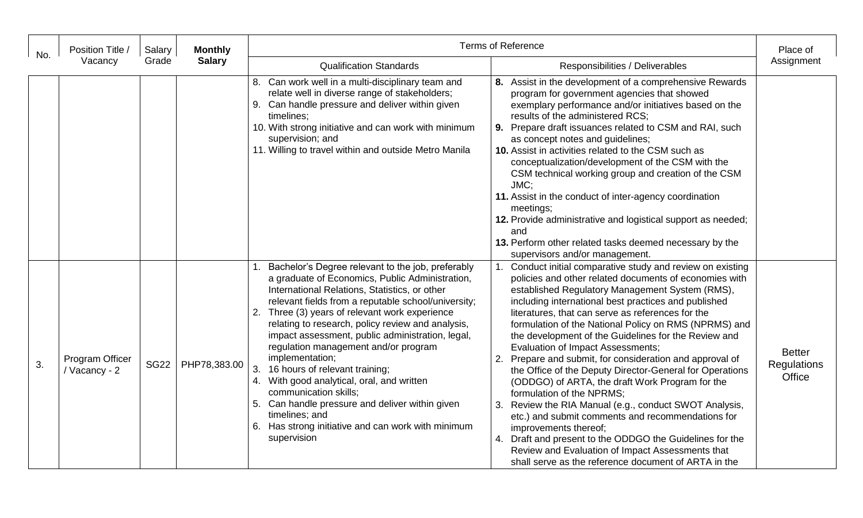| No. | Position Title /<br>Vacancy      | Salary<br>Grade | <b>Monthly</b><br><b>Salary</b> | <b>Terms of Reference</b>                                                                                                                                                                                                                                                                                                                                                                                                                                                                                                                                                                                                                                                                      |                                                                                                                                                                                                                                                                                                                                                                                                                                                                                                                                                                                                                                                                                                                                                                                                                                                                                                                                                                  | Place of                                      |
|-----|----------------------------------|-----------------|---------------------------------|------------------------------------------------------------------------------------------------------------------------------------------------------------------------------------------------------------------------------------------------------------------------------------------------------------------------------------------------------------------------------------------------------------------------------------------------------------------------------------------------------------------------------------------------------------------------------------------------------------------------------------------------------------------------------------------------|------------------------------------------------------------------------------------------------------------------------------------------------------------------------------------------------------------------------------------------------------------------------------------------------------------------------------------------------------------------------------------------------------------------------------------------------------------------------------------------------------------------------------------------------------------------------------------------------------------------------------------------------------------------------------------------------------------------------------------------------------------------------------------------------------------------------------------------------------------------------------------------------------------------------------------------------------------------|-----------------------------------------------|
|     |                                  |                 |                                 | <b>Qualification Standards</b>                                                                                                                                                                                                                                                                                                                                                                                                                                                                                                                                                                                                                                                                 | Responsibilities / Deliverables                                                                                                                                                                                                                                                                                                                                                                                                                                                                                                                                                                                                                                                                                                                                                                                                                                                                                                                                  | Assignment                                    |
|     |                                  |                 |                                 | 8. Can work well in a multi-disciplinary team and<br>relate well in diverse range of stakeholders;<br>9. Can handle pressure and deliver within given<br>timelines;<br>10. With strong initiative and can work with minimum<br>supervision; and<br>11. Willing to travel within and outside Metro Manila                                                                                                                                                                                                                                                                                                                                                                                       | 8. Assist in the development of a comprehensive Rewards<br>program for government agencies that showed<br>exemplary performance and/or initiatives based on the<br>results of the administered RCS;<br>9. Prepare draft issuances related to CSM and RAI, such<br>as concept notes and guidelines;<br>10. Assist in activities related to the CSM such as<br>conceptualization/development of the CSM with the<br>CSM technical working group and creation of the CSM<br>JMC;<br>11. Assist in the conduct of inter-agency coordination<br>meetings;<br>12. Provide administrative and logistical support as needed;<br>and<br>13. Perform other related tasks deemed necessary by the<br>supervisors and/or management.                                                                                                                                                                                                                                         |                                               |
| 3.  | Program Officer<br>/ Vacancy - 2 | <b>SG22</b>     | PHP78,383.00                    | 1. Bachelor's Degree relevant to the job, preferably<br>a graduate of Economics, Public Administration,<br>International Relations, Statistics, or other<br>relevant fields from a reputable school/university;<br>2. Three (3) years of relevant work experience<br>relating to research, policy review and analysis,<br>impact assessment, public administration, legal,<br>regulation management and/or program<br>implementation;<br>3.<br>16 hours of relevant training;<br>4. With good analytical, oral, and written<br>communication skills:<br>5. Can handle pressure and deliver within given<br>timelines; and<br>6. Has strong initiative and can work with minimum<br>supervision | Conduct initial comparative study and review on existing<br>policies and other related documents of economies with<br>established Regulatory Management System (RMS),<br>including international best practices and published<br>literatures, that can serve as references for the<br>formulation of the National Policy on RMS (NPRMS) and<br>the development of the Guidelines for the Review and<br>Evaluation of Impact Assessments;<br>Prepare and submit, for consideration and approval of<br>2.<br>the Office of the Deputy Director-General for Operations<br>(ODDGO) of ARTA, the draft Work Program for the<br>formulation of the NPRMS:<br>Review the RIA Manual (e.g., conduct SWOT Analysis,<br>etc.) and submit comments and recommendations for<br>improvements thereof;<br>4. Draft and present to the ODDGO the Guidelines for the<br>Review and Evaluation of Impact Assessments that<br>shall serve as the reference document of ARTA in the | <b>Better</b><br><b>Regulations</b><br>Office |